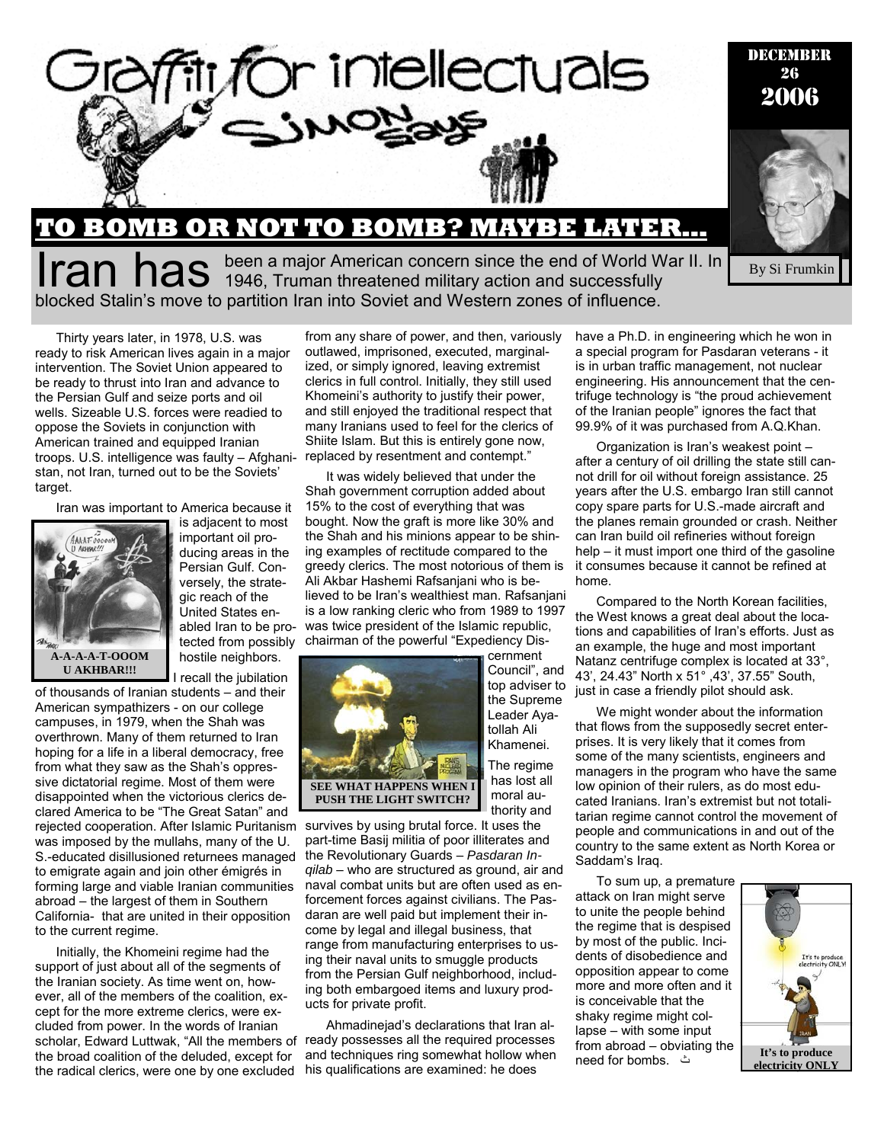

**FRUM HAS** been a major American concern since the end of World War II. In By Si Frumkin blocked Stalin's move to partition Iran into Soviet and Western zones of influence.

Thirty years later, in 1978, U.S. was ready to risk American lives again in a major intervention. The Soviet Union appeared to be ready to thrust into Iran and advance to the Persian Gulf and seize ports and oil wells. Sizeable U.S. forces were readied to oppose the Soviets in conjunction with American trained and equipped Iranian troops. U.S. intelligence was faulty – Afghanistan, not Iran, turned out to be the Soviets' target.

Iran was important to America because it



is adjacent to most important oil producing areas in the Persian Gulf. Conversely, the strategic reach of the United States enabled Iran to be protected from possibly hostile neighbors.

I recall the jubilation of thousands of Iranian students – and their

American sympathizers - on our college campuses, in 1979, when the Shah was overthrown. Many of them returned to Iran hoping for a life in a liberal democracy, free from what they saw as the Shah's oppressive dictatorial regime. Most of them were disappointed when the victorious clerics declared America to be "The Great Satan" and rejected cooperation. After Islamic Puritanism was imposed by the mullahs, many of the U. S.-educated disillusioned returnees managed to emigrate again and join other émigrés in forming large and viable Iranian communities abroad – the largest of them in Southern California- that are united in their opposition to the current regime.

Initially, the Khomeini regime had the support of just about all of the segments of the Iranian society. As time went on, however, all of the members of the coalition, except for the more extreme clerics, were excluded from power. In the words of Iranian scholar, Edward Luttwak, "All the members of ready possesses all the required processes the broad coalition of the deluded, except for the radical clerics, were one by one excluded

from any share of power, and then, variously outlawed, imprisoned, executed, marginalized, or simply ignored, leaving extremist clerics in full control. Initially, they still used Khomeini's authority to justify their power, and still enjoyed the traditional respect that many Iranians used to feel for the clerics of Shiite Islam. But this is entirely gone now, replaced by resentment and contempt."

It was widely believed that under the Shah government corruption added about 15% to the cost of everything that was bought. Now the graft is more like 30% and the Shah and his minions appear to be shining examples of rectitude compared to the greedy clerics. The most notorious of them is Ali Akbar Hashemi Rafsanjani who is believed to be Iran's wealthiest man. Rafsanjani is a low ranking cleric who from 1989 to 1997 was twice president of the Islamic republic, chairman of the powerful "Expediency Dis-



cernment Council", and top adviser to the Supreme Leader Ayatollah Ali Khamenei. The regime has lost all moral authority and

survives by using brutal force. It uses the part-time Basij militia of poor illiterates and the Revolutionary Guards – *Pasdaran Inqilab* – who are structured as ground, air and naval combat units but are often used as enforcement forces against civilians. The Pasdaran are well paid but implement their income by legal and illegal business, that range from manufacturing enterprises to using their naval units to smuggle products from the Persian Gulf neighborhood, including both embargoed items and luxury products for private profit.

Ahmadinejad's declarations that Iran aland techniques ring somewhat hollow when his qualifications are examined: he does

have a Ph.D. in engineering which he won in a special program for Pasdaran veterans - it is in urban traffic management, not nuclear engineering. His announcement that the centrifuge technology is "the proud achievement of the Iranian people" ignores the fact that 99.9% of it was purchased from A.Q.Khan.

By Si Frumkin

Organization is Iran's weakest point – after a century of oil drilling the state still cannot drill for oil without foreign assistance. 25 years after the U.S. embargo Iran still cannot copy spare parts for U.S.-made aircraft and the planes remain grounded or crash. Neither can Iran build oil refineries without foreign help – it must import one third of the gasoline it consumes because it cannot be refined at home.

Compared to the North Korean facilities, the West knows a great deal about the locations and capabilities of Iran's efforts. Just as an example, the huge and most important Natanz centrifuge complex is located at 33°, 43', 24.43" North x 51° ,43', 37.55" South, just in case a friendly pilot should ask.

We might wonder about the information that flows from the supposedly secret enterprises. It is very likely that it comes from some of the many scientists, engineers and managers in the program who have the same low opinion of their rulers, as do most educated Iranians. Iran's extremist but not totalitarian regime cannot control the movement of people and communications in and out of the country to the same extent as North Korea or Saddam's Iraq.

To sum up, a premature attack on Iran might serve to unite the people behind the regime that is despised by most of the public. Incidents of disobedience and opposition appear to come more and more often and it is conceivable that the shaky regime might collapse – with some input from abroad – obviating the need for bombs. ث

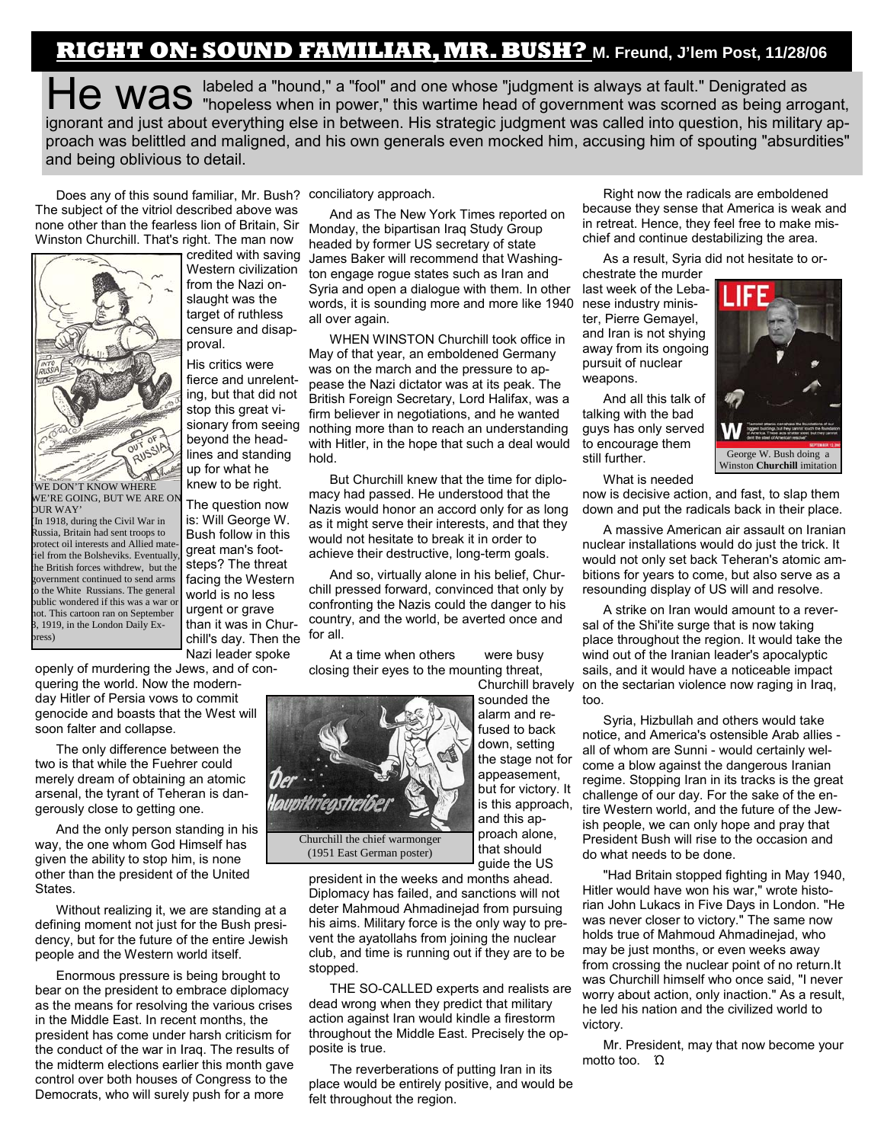## **RIGHT ON: SOUND FAMILIAR, MR. BUSH? M. Freund, J'lem Post, 11/28/06**

He was labeled a "hound," a "fool" and one whose "judgment is always at fault." Denigrated as  $\mathsf{H}\mathsf{C}$  Was "hopeless when in power," this wartime head of government was scorned as being arrogant, ignorant and just about everything else in between. His strategic judgment was called into question, his military approach was belittled and maligned, and his own generals even mocked him, accusing him of spouting "absurdities" and being oblivious to detail.

Does any of this sound familiar, Mr. Bush? conciliatory approach. The subject of the vitriol described above was none other than the fearless lion of Britain, Sir Winston Churchill. That's right. The man now



'WE DON'T KNOW WHERE WE'RE GOING, BUT WE ARE ON OUR WAY'

(In 1918, during the Civil War in Russia, Britain had sent troops to protect oil interests and Allied materiel from the Bolsheviks. Eventually, the British forces withdrew, but the government continued to send arms to the White Russians. The general public wondered if this was a war or not. This cartoon ran on September 8, 1919, in the London Daily Express)

credited with saving Western civilization from the Nazi onslaught was the target of ruthless censure and disapproval.

His critics were fierce and unrelenting, but that did not stop this great visionary from seeing beyond the headlines and standing up for what he knew to be right.

The question now is: Will George W. Bush follow in this great man's footsteps? The threat facing the Western world is no less urgent or grave than it was in Churchill's day. Then the Nazi leader spoke

openly of murdering the Jews, and of conquering the world. Now the modern-

day Hitler of Persia vows to commit genocide and boasts that the West will soon falter and collapse.

The only difference between the two is that while the Fuehrer could merely dream of obtaining an atomic arsenal, the tyrant of Teheran is dangerously close to getting one.

And the only person standing in his way, the one whom God Himself has given the ability to stop him, is none other than the president of the United States.

Without realizing it, we are standing at a defining moment not just for the Bush presidency, but for the future of the entire Jewish people and the Western world itself.

Enormous pressure is being brought to bear on the president to embrace diplomacy as the means for resolving the various crises in the Middle East. In recent months, the president has come under harsh criticism for the conduct of the war in Iraq. The results of the midterm elections earlier this month gave control over both houses of Congress to the Democrats, who will surely push for a more

And as The New York Times reported on Monday, the bipartisan Iraq Study Group headed by former US secretary of state James Baker will recommend that Washington engage rogue states such as Iran and Syria and open a dialogue with them. In other words, it is sounding more and more like 1940 all over again.

WHEN WINSTON Churchill took office in May of that year, an emboldened Germany was on the march and the pressure to appease the Nazi dictator was at its peak. The British Foreign Secretary, Lord Halifax, was a firm believer in negotiations, and he wanted nothing more than to reach an understanding with Hitler, in the hope that such a deal would hold.

But Churchill knew that the time for diplomacy had passed. He understood that the Nazis would honor an accord only for as long as it might serve their interests, and that they would not hesitate to break it in order to achieve their destructive, long-term goals.

And so, virtually alone in his belief, Churchill pressed forward, convinced that only by confronting the Nazis could the danger to his country, and the world, be averted once and for all.

At a time when others were busy closing their eyes to the mounting threat, Churchill bravely



president in the weeks and months ahead. Diplomacy has failed, and sanctions will not deter Mahmoud Ahmadinejad from pursuing his aims. Military force is the only way to prevent the ayatollahs from joining the nuclear club, and time is running out if they are to be stopped.

THE SO-CALLED experts and realists are dead wrong when they predict that military action against Iran would kindle a firestorm throughout the Middle East. Precisely the opposite is true.

The reverberations of putting Iran in its place would be entirely positive, and would be felt throughout the region.

Right now the radicals are emboldened because they sense that America is weak and in retreat. Hence, they feel free to make mischief and continue destabilizing the area.

As a result, Syria did not hesitate to or-

chestrate the murder last week of the Lebanese industry minister, Pierre Gemayel, and Iran is not shying away from its ongoing pursuit of nuclear weapons.

And all this talk of talking with the bad guys has only served to encourage them still further.



What is needed

now is decisive action, and fast, to slap them down and put the radicals back in their place.

A massive American air assault on Iranian nuclear installations would do just the trick. It would not only set back Teheran's atomic ambitions for years to come, but also serve as a resounding display of US will and resolve.

A strike on Iran would amount to a reversal of the Shi'ite surge that is now taking place throughout the region. It would take the wind out of the Iranian leader's apocalyptic sails, and it would have a noticeable impact on the sectarian violence now raging in Iraq, too.

Syria, Hizbullah and others would take notice, and America's ostensible Arab allies all of whom are Sunni - would certainly welcome a blow against the dangerous Iranian regime. Stopping Iran in its tracks is the great challenge of our day. For the sake of the entire Western world, and the future of the Jewish people, we can only hope and pray that President Bush will rise to the occasion and do what needs to be done.

"Had Britain stopped fighting in May 1940, Hitler would have won his war," wrote historian John Lukacs in Five Days in London. "He was never closer to victory." The same now holds true of Mahmoud Ahmadinejad, who may be just months, or even weeks away from crossing the nuclear point of no return.It was Churchill himself who once said, "I never worry about action, only inaction." As a result, he led his nation and the civilized world to victory.

Mr. President, may that now become your motto too. Ώ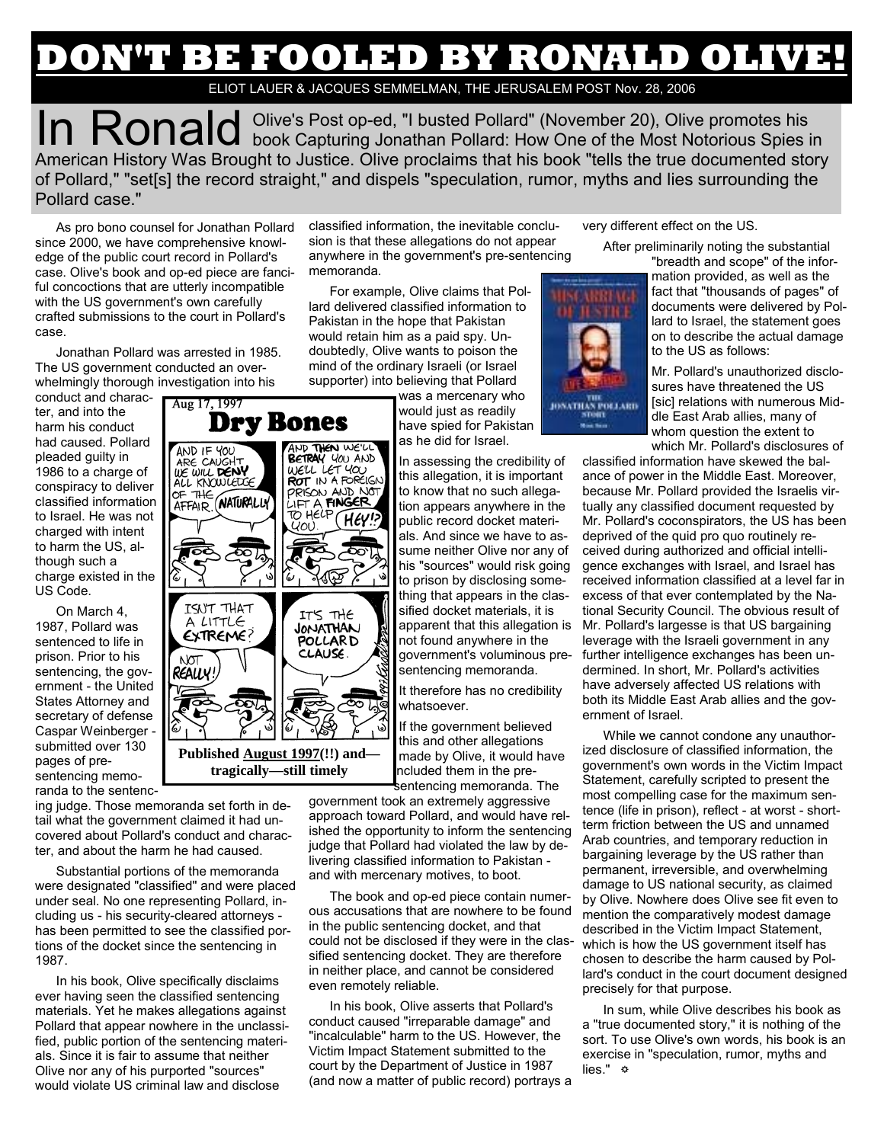## **'T BE FOOLED BY RONALD OLIVE!**

ELIOT LAUER & JACQUES SEMMELMAN, THE JERUSALEM POST Nov. 28, 2006

In Ronald Olive's Post op-ed, "I busted Pollard" (November 20), Olive promotes his book Capturing Jonathan Pollard: How One of the Most Notorious Spies in American History Was Brought to Justice. Olive proclaims that his book "tells the true documented story of Pollard," "set[s] the record straight," and dispels "speculation, rumor, myths and lies surrounding the Pollard case."

As pro bono counsel for Jonathan Pollard since 2000, we have comprehensive knowledge of the public court record in Pollard's case. Olive's book and op-ed piece are fanciful concoctions that are utterly incompatible with the US government's own carefully crafted submissions to the court in Pollard's case.

Jonathan Pollard was arrested in 1985. The US government conducted an overwhelmingly thorough investigation into his

conduct and character, and into the harm his conduct had caused. Pollard pleaded guilty in 1986 to a charge of conspiracy to deliver classified information to Israel. He was not charged with intent to harm the US, although such a charge existed in the US Code.

On March 4, 1987, Pollard was sentenced to life in prison. Prior to his sentencing, the government - the United States Attorney and secretary of defense Caspar Weinberger submitted over 130 pages of presentencing memo-

randa to the sentenc-

classified information, the inevitable conclusion is that these allegations do not appear anywhere in the government's pre-sentencing memoranda.

For example, Olive claims that Pollard delivered classified information to Pakistan in the hope that Pakistan would retain him as a paid spy. Undoubtedly, Olive wants to poison the mind of the ordinary Israeli (or Israel supporter) into believing that Pollard

> was a mercenary who would just as readily have spied for Pakistan as he did for Israel.

In assessing the credibility of this allegation, it is important to know that no such allegation appears anywhere in the public record docket materials. And since we have to assume neither Olive nor any of his "sources" would risk going to prison by disclosing something that appears in the classified docket materials, it is apparent that this allegation is not found anywhere in the government's voluminous presentencing memoranda.

It therefore has no credibility whatsoever.

If the government believed this and other allegations made by Olive, it would have ncluded them in the presentencing memoranda. The

government took an extremely aggressive approach toward Pollard, and would have relished the opportunity to inform the sentencing judge that Pollard had violated the law by delivering classified information to Pakistan and with mercenary motives, to boot.

The book and op-ed piece contain numerous accusations that are nowhere to be found in the public sentencing docket, and that could not be disclosed if they were in the classified sentencing docket. They are therefore in neither place, and cannot be considered even remotely reliable.

In his book, Olive asserts that Pollard's conduct caused "irreparable damage" and "incalculable" harm to the US. However, the Victim Impact Statement submitted to the court by the Department of Justice in 1987 (and now a matter of public record) portrays a very different effect on the US.

After preliminarily noting the substantial

"breadth and scope" of the information provided, as well as the fact that "thousands of pages" of documents were delivered by Pollard to Israel, the statement goes on to describe the actual damage to the US as follows:

Mr. Pollard's unauthorized disclosures have threatened the US [sic] relations with numerous Middle East Arab allies, many of whom question the extent to which Mr. Pollard's disclosures of

classified information have skewed the balance of power in the Middle East. Moreover, because Mr. Pollard provided the Israelis virtually any classified document requested by Mr. Pollard's coconspirators, the US has been deprived of the quid pro quo routinely received during authorized and official intelligence exchanges with Israel, and Israel has received information classified at a level far in excess of that ever contemplated by the National Security Council. The obvious result of Mr. Pollard's largesse is that US bargaining leverage with the Israeli government in any further intelligence exchanges has been undermined. In short, Mr. Pollard's activities have adversely affected US relations with both its Middle East Arab allies and the government of Israel.

While we cannot condone any unauthorized disclosure of classified information, the government's own words in the Victim Impact Statement, carefully scripted to present the most compelling case for the maximum sentence (life in prison), reflect - at worst - shortterm friction between the US and unnamed Arab countries, and temporary reduction in bargaining leverage by the US rather than permanent, irreversible, and overwhelming damage to US national security, as claimed by Olive. Nowhere does Olive see fit even to mention the comparatively modest damage described in the Victim Impact Statement, which is how the US government itself has chosen to describe the harm caused by Pollard's conduct in the court document designed precisely for that purpose.

In sum, while Olive describes his book as a "true documented story," it is nothing of the sort. To use Olive's own words, his book is an exercise in "speculation, rumor, myths and lies." ☼

ing judge. Those memoranda set forth in detail what the government claimed it had uncovered about Pollard's conduct and charac**tragically—still timely** 

Substantial portions of the memoranda were designated "classified" and were placed under seal. No one representing Pollard, including us - his security-cleared attorneys has been permitted to see the classified portions of the docket since the sentencing in 1987.

ter, and about the harm he had caused.

In his book, Olive specifically disclaims ever having seen the classified sentencing materials. Yet he makes allegations against Pollard that appear nowhere in the unclassified, public portion of the sentencing materials. Since it is fair to assume that neither Olive nor any of his purported "sources" would violate US criminal law and disclose